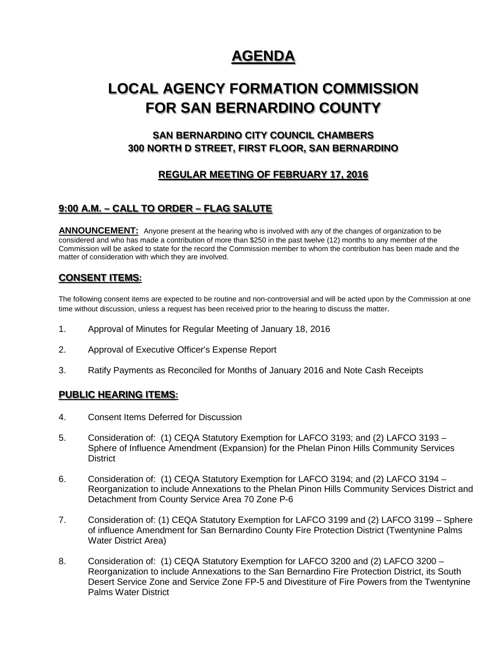# **AGENDA**

# **LOCAL AGENCY FORMATION COMMISSION FOR SAN BERNARDINO COUNTY**

# **SAN BERNARDINO CITY COUNCIL CHAMBERS 300 NORTH D STREET, FIRST FLOOR, SAN BERNARDINO**

## **REGULAR MEETING OF FEBRUARY 17, 2016**

## **9:00 A.M. – CALL TO ORDER – FLAG SALUTE**

**ANNOUNCEMENT:** Anyone present at the hearing who is involved with any of the changes of organization to be considered and who has made a contribution of more than \$250 in the past twelve (12) months to any member of the Commission will be asked to state for the record the Commission member to whom the contribution has been made and the matter of consideration with which they are involved.

### **CONSENT ITEMS:**

The following consent items are expected to be routine and non-controversial and will be acted upon by the Commission at one time without discussion, unless a request has been received prior to the hearing to discuss the matter.

- 1. Approval of Minutes for Regular Meeting of January 18, 2016
- 2. Approval of Executive Officer's Expense Report
- 3. Ratify Payments as Reconciled for Months of January 2016 and Note Cash Receipts

#### **PUBLIC HEARING ITEMS:**

- 4. Consent Items Deferred for Discussion
- 5. Consideration of: (1) CEQA Statutory Exemption for LAFCO 3193; and (2) LAFCO 3193 Sphere of Influence Amendment (Expansion) for the Phelan Pinon Hills Community Services **District**
- 6. Consideration of: (1) CEQA Statutory Exemption for LAFCO 3194; and (2) LAFCO 3194 Reorganization to include Annexations to the Phelan Pinon Hills Community Services District and Detachment from County Service Area 70 Zone P-6
- 7. Consideration of: (1) CEQA Statutory Exemption for LAFCO 3199 and (2) LAFCO 3199 Sphere of influence Amendment for San Bernardino County Fire Protection District (Twentynine Palms Water District Area)
- 8. Consideration of: (1) CEQA Statutory Exemption for LAFCO 3200 and (2) LAFCO 3200 Reorganization to include Annexations to the San Bernardino Fire Protection District, its South Desert Service Zone and Service Zone FP-5 and Divestiture of Fire Powers from the Twentynine Palms Water District